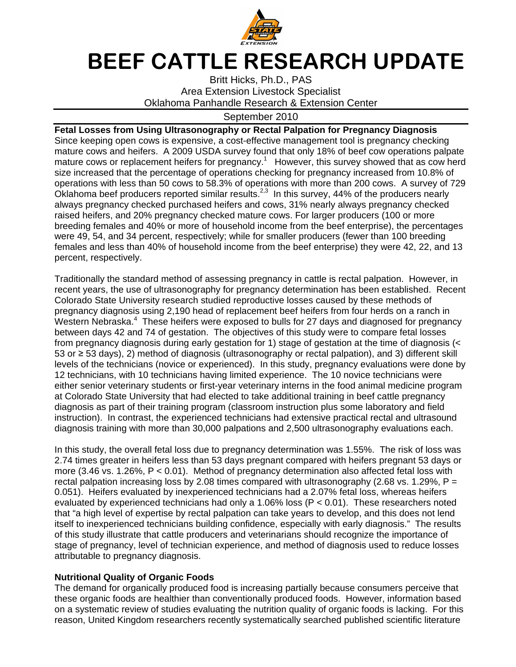

## BEEF CATTLE RESEARCH UPDATE

Britt Hicks, Ph.D., PAS Area Extension Livestock Specialist Oklahoma Panhandle Research & Extension Center

## September 2010

**Fetal Losses from Using Ultrasonography or Rectal Palpation for Pregnancy Diagnosis**  Since keeping open cows is expensive, a cost-effective management tool is pregnancy checking mature cows and heifers. A 2009 USDA survey found that only 18% of beef cow operations palpate mature cows or replacement heifers for pregnancy.<sup>1</sup> However, this survey showed that as cow herd size increased that the percentage of operations checking for pregnancy increased from 10.8% of operations with less than 50 cows to 58.3% of operations with more than 200 cows. A survey of 729 Oklahoma beef producers reported similar results.<sup>2,3</sup> In this survey, 44% of the producers nearly always pregnancy checked purchased heifers and cows, 31% nearly always pregnancy checked raised heifers, and 20% pregnancy checked mature cows. For larger producers (100 or more breeding females and 40% or more of household income from the beef enterprise), the percentages were 49, 54, and 34 percent, respectively; while for smaller producers (fewer than 100 breeding females and less than 40% of household income from the beef enterprise) they were 42, 22, and 13 percent, respectively.

Traditionally the standard method of assessing pregnancy in cattle is rectal palpation. However, in recent years, the use of ultrasonography for pregnancy determination has been established. Recent Colorado State University research studied reproductive losses caused by these methods of pregnancy diagnosis using 2,190 head of replacement beef heifers from four herds on a ranch in Western Nebraska. $4$  These heifers were exposed to bulls for 27 days and diagnosed for pregnancy between days 42 and 74 of gestation. The objectives of this study were to compare fetal losses from pregnancy diagnosis during early gestation for 1) stage of gestation at the time of diagnosis (< 53 or ≥ 53 days), 2) method of diagnosis (ultrasonography or rectal palpation), and 3) different skill levels of the technicians (novice or experienced). In this study, pregnancy evaluations were done by 12 technicians, with 10 technicians having limited experience. The 10 novice technicians were either senior veterinary students or first-year veterinary interns in the food animal medicine program at Colorado State University that had elected to take additional training in beef cattle pregnancy diagnosis as part of their training program (classroom instruction plus some laboratory and field instruction). In contrast, the experienced technicians had extensive practical rectal and ultrasound diagnosis training with more than 30,000 palpations and 2,500 ultrasonography evaluations each.

In this study, the overall fetal loss due to pregnancy determination was 1.55%. The risk of loss was 2.74 times greater in heifers less than 53 days pregnant compared with heifers pregnant 53 days or more  $(3.46 \text{ vs. } 1.26\% \text{, } P < 0.01)$ . Method of pregnancy determination also affected fetal loss with rectal palpation increasing loss by 2.08 times compared with ultrasonography (2.68 vs. 1.29%,  $P =$ 0.051). Heifers evaluated by inexperienced technicians had a 2.07% fetal loss, whereas heifers evaluated by experienced technicians had only a 1.06% loss (P < 0.01). These researchers noted that "a high level of expertise by rectal palpation can take years to develop, and this does not lend itself to inexperienced technicians building confidence, especially with early diagnosis." The results of this study illustrate that cattle producers and veterinarians should recognize the importance of stage of pregnancy, level of technician experience, and method of diagnosis used to reduce losses attributable to pregnancy diagnosis.

## **Nutritional Quality of Organic Foods**

The demand for organically produced food is increasing partially because consumers perceive that these organic foods are healthier than conventionally produced foods. However, information based on a systematic review of studies evaluating the nutrition quality of organic foods is lacking. For this reason, United Kingdom researchers recently systematically searched published scientific literature